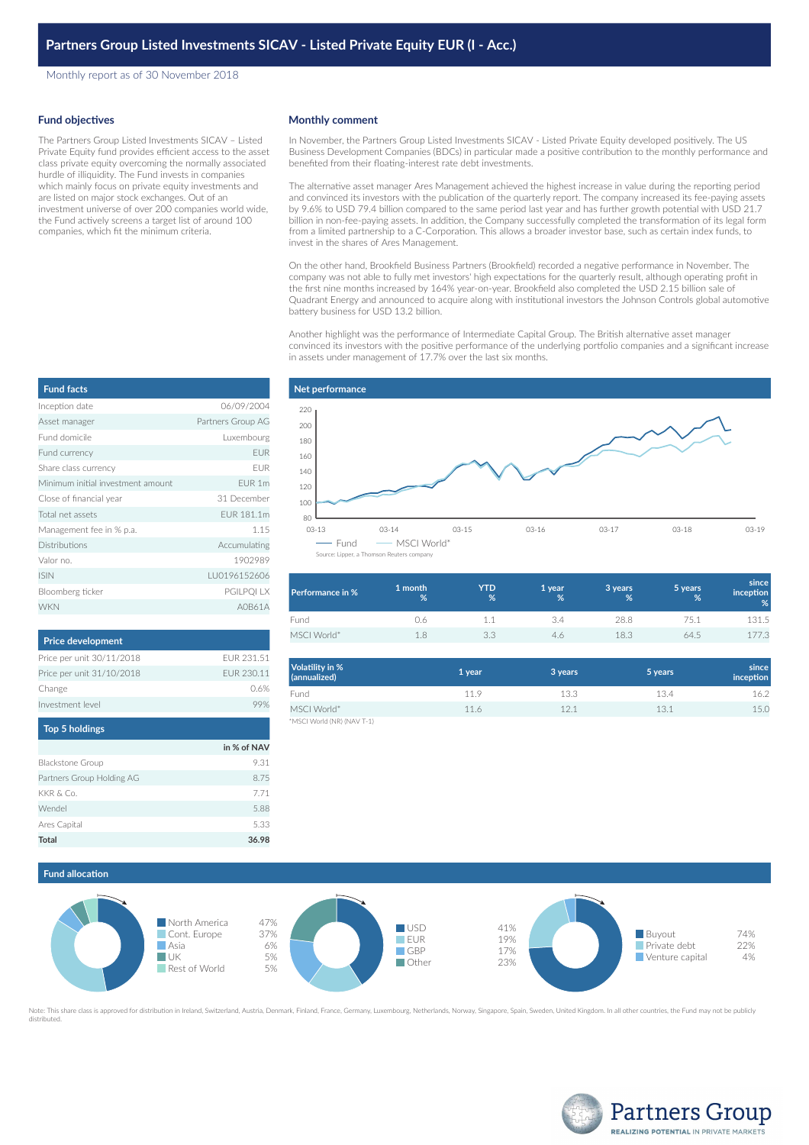Monthly report as of 30 November 2018

### **Fund objectives**

The Partners Group Listed Investments SICAV – Listed Private Equity fund provides efficient access to the asset class private equity overcoming the normally associated hurdle of illiquidity. The Fund invests in companies which mainly focus on private equity investments and are listed on major stock exchanges. Out of an investment universe of over 200 companies world wide, the Fund actively screens a target list of around 100 companies, which fit the minimum criteria.

# **Monthly comment**

In November, the Partners Group Listed Investments SICAV - Listed Private Equity developed positively. The US Business Development Companies (BDCs) in particular made a positive contribution to the monthly performance and benefited from their floating-interest rate debt investments.

The alternative asset manager Ares Management achieved the highest increase in value during the reporting period and convinced its investors with the publication of the quarterly report. The company increased its fee-paying assets by 9.6% to USD 79.4 billion compared to the same period last year and has further growth potential with USD 21.7 billion in non-fee-paying assets. In addition, the Company successfully completed the transformation of its legal form from a limited partnership to a C-Corporation. This allows a broader investor base, such as certain index funds, to invest in the shares of Ares Management.

On the other hand, Brookfield Business Partners (Brookfield) recorded a negative performance in November. The company was not able to fully met investors' high expectations for the quarterly result, although operating profit in the first nine months increased by 164% year-on-year. Brookfield also completed the USD 2.15 billion sale of Quadrant Energy and announced to acquire along with institutional investors the Johnson Controls global automotive battery business for USD 13.2 billion.

Another highlight was the performance of Intermediate Capital Group. The British alternative asset manager convinced its investors with the positive performance of the underlying portfolio companies and a significant increase in assets under management of 17.7% over the last six months.

| <b>Fund facts</b>                 |                   |
|-----------------------------------|-------------------|
| Inception date                    | 06/09/2004        |
| Asset manager                     | Partners Group AG |
| Eund domicile                     | Luxembourg        |
| Fund currency                     | <b>EUR</b>        |
| Share class currency              | <b>FUR</b>        |
| Minimum initial investment amount | EUR 1m            |
| Close of financial year           | 31 December       |
| Total net assets                  | FUR 181.1m        |
| Management fee in % p.a.          | 1.15              |
| <b>Distributions</b>              | Accumulating      |
| Valor no.                         | 1902989           |
| <b>ISIN</b>                       | LU0196152606      |
| Bloomberg ticker                  | PGILPQI LX        |
| <b>WKN</b>                        | AOR61A            |

| <b>Price development</b>  |            |
|---------------------------|------------|
| Price per unit 30/11/2018 | FUR 231.51 |
| Price per unit 31/10/2018 | FUR 230.11 |
| Change                    | 0.6%       |
| Investment level          |            |
|                           |            |

| <b>Top 5 holdings</b>     |             |
|---------------------------|-------------|
|                           | in % of NAV |
| Blackstone Group          | 9.31        |
| Partners Group Holding AG | 8.75        |
| KKR & Co.                 | 7.71        |
| Wendel                    | 5.88        |
| Ares Capital              | 5.33        |
| <b>Total</b>              | 36.98       |



| Performance in % | 1 month<br>% | YTD<br>% | 1 year<br>℅ | 3 years<br>% | 5 years<br>% | since<br><b>inception</b><br>% |
|------------------|--------------|----------|-------------|--------------|--------------|--------------------------------|
| Fund             | J.6          |          |             | 28.8         | 75.1         | 131.5                          |
| MSCI World*      | 18           | つつ       | 46          | 18.3         | 64.5         | 177.3                          |

| Volatility in %<br>(annualized) | 1 year | 3 years | 5 years | since<br>inception |
|---------------------------------|--------|---------|---------|--------------------|
| Fund                            | 11.9   | 13.3    | 13.4    | 16.2               |
| MSCI World*                     | 11.6   | 12.1    | 13.1    | 15.0               |
| *MSCI World (NR) (NAV T-1)      |        |         |         |                    |

**Fund allocation**



Note: This share class is approved for distribution in Ireland, Switzerland, Austria, Denmark, Finland, France, Germany, Luxembourg, Netherlands, Norway, Singapore, Spain, Sweden, United Kingdom. In all other countries, th distributed.